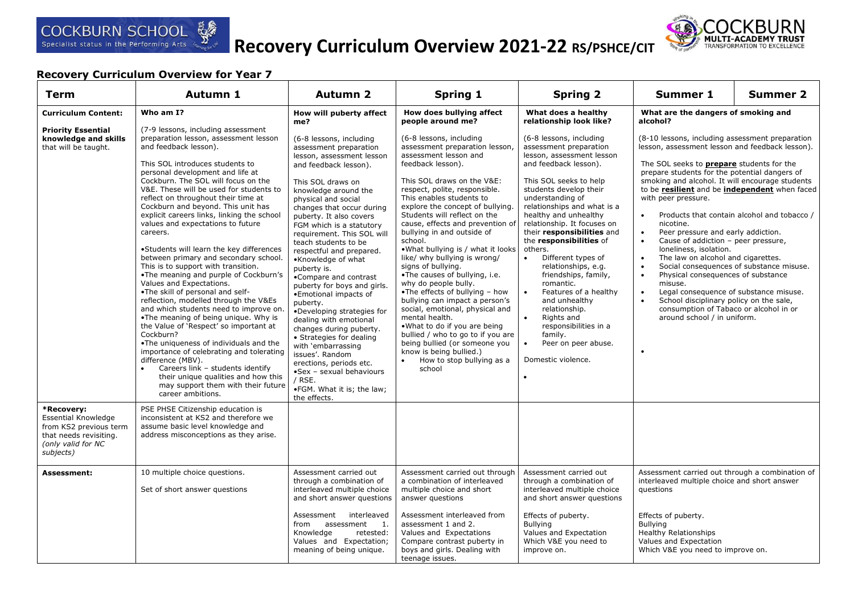

# **Recovery Curriculum Overview 2021-22 RS/PSHCE/CIT**



| Term                                                                                                                            | Autumn 1                                                                                                                                                                                                                                                                                                                                                                                                                                                                                                                                                                                                                                                                                                                                                                                                                                                                                                                                                                                                                                                                                                                        | <b>Autumn 2</b>                                                                                                                                                                                                                                                                                                                                                                                                                                                                                                                                                                                                                                                                                                                                            | <b>Spring 1</b>                                                                                                                                                                                                                                                                                                                                                                                                                                                                                                                                                                                                                                                                                                                                                                                                          | <b>Spring 2</b>                                                                                                                                                                                                                                                                                                                                                                                                                                                                                                                                                                                                                                         | <b>Summer 1</b>                                                                                                                                                                                                                                                                                                                                                                                                                                                                                                                                                                                                                                                                                                                                                                                                                                                                                                                           | Summer 2 |
|---------------------------------------------------------------------------------------------------------------------------------|---------------------------------------------------------------------------------------------------------------------------------------------------------------------------------------------------------------------------------------------------------------------------------------------------------------------------------------------------------------------------------------------------------------------------------------------------------------------------------------------------------------------------------------------------------------------------------------------------------------------------------------------------------------------------------------------------------------------------------------------------------------------------------------------------------------------------------------------------------------------------------------------------------------------------------------------------------------------------------------------------------------------------------------------------------------------------------------------------------------------------------|------------------------------------------------------------------------------------------------------------------------------------------------------------------------------------------------------------------------------------------------------------------------------------------------------------------------------------------------------------------------------------------------------------------------------------------------------------------------------------------------------------------------------------------------------------------------------------------------------------------------------------------------------------------------------------------------------------------------------------------------------------|--------------------------------------------------------------------------------------------------------------------------------------------------------------------------------------------------------------------------------------------------------------------------------------------------------------------------------------------------------------------------------------------------------------------------------------------------------------------------------------------------------------------------------------------------------------------------------------------------------------------------------------------------------------------------------------------------------------------------------------------------------------------------------------------------------------------------|---------------------------------------------------------------------------------------------------------------------------------------------------------------------------------------------------------------------------------------------------------------------------------------------------------------------------------------------------------------------------------------------------------------------------------------------------------------------------------------------------------------------------------------------------------------------------------------------------------------------------------------------------------|-------------------------------------------------------------------------------------------------------------------------------------------------------------------------------------------------------------------------------------------------------------------------------------------------------------------------------------------------------------------------------------------------------------------------------------------------------------------------------------------------------------------------------------------------------------------------------------------------------------------------------------------------------------------------------------------------------------------------------------------------------------------------------------------------------------------------------------------------------------------------------------------------------------------------------------------|----------|
| <b>Curriculum Content:</b>                                                                                                      | Who am I?                                                                                                                                                                                                                                                                                                                                                                                                                                                                                                                                                                                                                                                                                                                                                                                                                                                                                                                                                                                                                                                                                                                       | How will puberty affect<br>me?                                                                                                                                                                                                                                                                                                                                                                                                                                                                                                                                                                                                                                                                                                                             | How does bullying affect<br>people around me?                                                                                                                                                                                                                                                                                                                                                                                                                                                                                                                                                                                                                                                                                                                                                                            | What does a healthy<br>relationship look like?                                                                                                                                                                                                                                                                                                                                                                                                                                                                                                                                                                                                          | What are the dangers of smoking and<br>alcohol?                                                                                                                                                                                                                                                                                                                                                                                                                                                                                                                                                                                                                                                                                                                                                                                                                                                                                           |          |
| <b>Priority Essential</b><br>knowledge and skills<br>that will be taught.                                                       | (7-9 lessons, including assessment<br>preparation lesson, assessment lesson<br>and feedback lesson).<br>This SOL introduces students to<br>personal development and life at<br>Cockburn. The SOL will focus on the<br>V&E. These will be used for students to<br>reflect on throughout their time at<br>Cockburn and beyond. This unit has<br>explicit careers links, linking the school<br>values and expectations to future<br>careers.<br>•Students will learn the key differences<br>between primary and secondary school.<br>This is to support with transition.<br>.The meaning and purple of Cockburn's<br>Values and Expectations.<br>•The skill of personal and self-<br>reflection, modelled through the V&Es<br>and which students need to improve on.<br>•The meaning of being unique. Why is<br>the Value of 'Respect' so important at<br>Cockburn?<br>. The uniqueness of individuals and the<br>importance of celebrating and tolerating<br>difference (MBV).<br>Careers link - students identify<br>$\bullet$<br>their unique qualities and how this<br>may support them with their future<br>career ambitions. | (6-8 lessons, including<br>assessment preparation<br>lesson, assessment lesson<br>and feedback lesson).<br>This SOL draws on<br>knowledge around the<br>physical and social<br>changes that occur during<br>puberty. It also covers<br>FGM which is a statutory<br>requirement. This SOL will<br>teach students to be<br>respectful and prepared.<br>•Knowledge of what<br>puberty is.<br>•Compare and contrast<br>puberty for boys and girls.<br>•Emotional impacts of<br>puberty.<br>•Developing strategies for<br>dealing with emotional<br>changes during puberty.<br>• Strategies for dealing<br>with 'embarrassing<br>issues'. Random<br>erections, periods etc.<br>•Sex - sexual behaviours<br>/ RSE.<br>.FGM. What it is; the law;<br>the effects. | (6-8 lessons, including<br>assessment preparation lesson,<br>assessment lesson and<br>feedback lesson).<br>This SOL draws on the V&E:<br>respect, polite, responsible.<br>This enables students to<br>explore the concept of bullying.<br>Students will reflect on the<br>cause, effects and prevention of<br>bullying in and outside of<br>school.<br>. What bullying is / what it looks<br>like/ why bullying is wrong/<br>signs of bullying.<br>.The causes of bullying, i.e.<br>why do people bully.<br>•The effects of bullying $-$ how<br>bullying can impact a person's<br>social, emotional, physical and<br>mental health.<br>.What to do if you are being<br>bullied / who to go to if you are<br>being bullied (or someone you<br>know is being bullied.)<br>How to stop bullying as a<br>$\bullet$<br>school | (6-8 lessons, including<br>assessment preparation<br>lesson, assessment lesson<br>and feedback lesson).<br>This SOL seeks to help<br>students develop their<br>understanding of<br>relationships and what is a<br>healthy and unhealthy<br>relationship. It focuses on<br>their responsibilities and<br>the responsibilities of<br>others.<br>Different types of<br>$\bullet$<br>relationships, e.g.<br>friendships, family,<br>romantic.<br>Features of a healthy<br>$\bullet$<br>and unhealthy<br>relationship.<br>Rights and<br>$\bullet$<br>responsibilities in a<br>family.<br>Peer on peer abuse.<br>$\bullet$<br>Domestic violence.<br>$\bullet$ | (8-10 lessons, including assessment preparation<br>lesson, assessment lesson and feedback lesson).<br>The SOL seeks to <b>prepare</b> students for the<br>prepare students for the potential dangers of<br>smoking and alcohol. It will encourage students<br>to be <b>resilient</b> and be <b>independent</b> when faced<br>with peer pressure.<br>Products that contain alcohol and tobacco /<br>$\bullet$<br>nicotine.<br>Peer pressure and early addiction.<br>$\bullet$<br>Cause of addiction - peer pressure,<br>$\bullet$<br>loneliness, isolation.<br>The law on alcohol and cigarettes.<br>$\bullet$<br>Social consequences of substance misuse.<br>$\bullet$<br>Physical consequences of substance<br>$\bullet$<br>misuse.<br>Legal consequence of substance misuse.<br>$\bullet$<br>School disciplinary policy on the sale,<br>$\bullet$<br>consumption of Tabaco or alcohol in or<br>around school / in uniform.<br>$\bullet$ |          |
| *Recovery:<br><b>Essential Knowledge</b><br>from KS2 previous term<br>that needs revisiting.<br>(only valid for NC<br>subjects) | PSE PHSE Citizenship education is<br>inconsistent at KS2 and therefore we<br>assume basic level knowledge and<br>address misconceptions as they arise.                                                                                                                                                                                                                                                                                                                                                                                                                                                                                                                                                                                                                                                                                                                                                                                                                                                                                                                                                                          |                                                                                                                                                                                                                                                                                                                                                                                                                                                                                                                                                                                                                                                                                                                                                            |                                                                                                                                                                                                                                                                                                                                                                                                                                                                                                                                                                                                                                                                                                                                                                                                                          |                                                                                                                                                                                                                                                                                                                                                                                                                                                                                                                                                                                                                                                         |                                                                                                                                                                                                                                                                                                                                                                                                                                                                                                                                                                                                                                                                                                                                                                                                                                                                                                                                           |          |
| <b>Assessment:</b>                                                                                                              | 10 multiple choice questions.<br>Set of short answer questions                                                                                                                                                                                                                                                                                                                                                                                                                                                                                                                                                                                                                                                                                                                                                                                                                                                                                                                                                                                                                                                                  | Assessment carried out<br>through a combination of<br>interleaved multiple choice<br>and short answer questions                                                                                                                                                                                                                                                                                                                                                                                                                                                                                                                                                                                                                                            | Assessment carried out through<br>a combination of interleaved<br>multiple choice and short<br>answer questions                                                                                                                                                                                                                                                                                                                                                                                                                                                                                                                                                                                                                                                                                                          | Assessment carried out<br>through a combination of<br>interleaved multiple choice<br>and short answer questions                                                                                                                                                                                                                                                                                                                                                                                                                                                                                                                                         | Assessment carried out through a combination of<br>interleaved multiple choice and short answer<br>questions                                                                                                                                                                                                                                                                                                                                                                                                                                                                                                                                                                                                                                                                                                                                                                                                                              |          |
|                                                                                                                                 |                                                                                                                                                                                                                                                                                                                                                                                                                                                                                                                                                                                                                                                                                                                                                                                                                                                                                                                                                                                                                                                                                                                                 | interleaved<br>Assessment<br>assessment<br>from<br>1.<br>Knowledge<br>retested:<br>Values and Expectation;<br>meaning of being unique.                                                                                                                                                                                                                                                                                                                                                                                                                                                                                                                                                                                                                     | Assessment interleaved from<br>assessment 1 and 2.<br>Values and Expectations<br>Compare contrast puberty in<br>boys and girls. Dealing with<br>teenage issues.                                                                                                                                                                                                                                                                                                                                                                                                                                                                                                                                                                                                                                                          | Effects of puberty.<br><b>Bullying</b><br>Values and Expectation<br>Which V&E you need to<br>improve on.                                                                                                                                                                                                                                                                                                                                                                                                                                                                                                                                                | Effects of puberty.<br><b>Bullying</b><br><b>Healthy Relationships</b><br>Values and Expectation<br>Which V&E you need to improve on.                                                                                                                                                                                                                                                                                                                                                                                                                                                                                                                                                                                                                                                                                                                                                                                                     |          |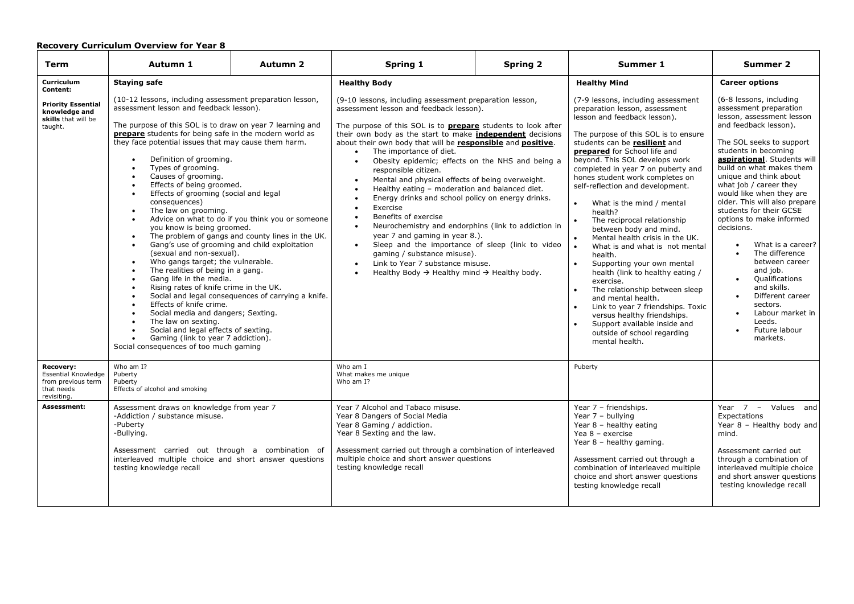| <b>Term</b>                                                                         | Autumn 1                                                                                                                                                                                                                                                                                                                                                                                                                                                                                                                                                                                                                                                                                                                                                                                                                                                                                                                                                                                                                                                                                                                                                                                  | <b>Autumn 2</b> | Spring 1                                                                                                                                                                                                                                                                                                                                                                                                                                                                                                                                                                                                                                                                                                                                                                                                                                                                                                                                                                                                                                                 | <b>Spring 2</b> | Summer 1                                                                                                                                                                                                                                                                                                                                                                                                                                                                                                                                                                                                                                                                                                                                                                                                                                               | <b>Summer 2</b>                                                                                                                                                                                                                                                                                                                                                                                                                                                                                                                                                                                                                                      |
|-------------------------------------------------------------------------------------|-------------------------------------------------------------------------------------------------------------------------------------------------------------------------------------------------------------------------------------------------------------------------------------------------------------------------------------------------------------------------------------------------------------------------------------------------------------------------------------------------------------------------------------------------------------------------------------------------------------------------------------------------------------------------------------------------------------------------------------------------------------------------------------------------------------------------------------------------------------------------------------------------------------------------------------------------------------------------------------------------------------------------------------------------------------------------------------------------------------------------------------------------------------------------------------------|-----------------|----------------------------------------------------------------------------------------------------------------------------------------------------------------------------------------------------------------------------------------------------------------------------------------------------------------------------------------------------------------------------------------------------------------------------------------------------------------------------------------------------------------------------------------------------------------------------------------------------------------------------------------------------------------------------------------------------------------------------------------------------------------------------------------------------------------------------------------------------------------------------------------------------------------------------------------------------------------------------------------------------------------------------------------------------------|-----------------|--------------------------------------------------------------------------------------------------------------------------------------------------------------------------------------------------------------------------------------------------------------------------------------------------------------------------------------------------------------------------------------------------------------------------------------------------------------------------------------------------------------------------------------------------------------------------------------------------------------------------------------------------------------------------------------------------------------------------------------------------------------------------------------------------------------------------------------------------------|------------------------------------------------------------------------------------------------------------------------------------------------------------------------------------------------------------------------------------------------------------------------------------------------------------------------------------------------------------------------------------------------------------------------------------------------------------------------------------------------------------------------------------------------------------------------------------------------------------------------------------------------------|
| Curriculum<br>Content:                                                              | <b>Staying safe</b>                                                                                                                                                                                                                                                                                                                                                                                                                                                                                                                                                                                                                                                                                                                                                                                                                                                                                                                                                                                                                                                                                                                                                                       |                 | <b>Healthy Body</b>                                                                                                                                                                                                                                                                                                                                                                                                                                                                                                                                                                                                                                                                                                                                                                                                                                                                                                                                                                                                                                      |                 | <b>Healthy Mind</b>                                                                                                                                                                                                                                                                                                                                                                                                                                                                                                                                                                                                                                                                                                                                                                                                                                    | <b>Career options</b>                                                                                                                                                                                                                                                                                                                                                                                                                                                                                                                                                                                                                                |
| <b>Priority Essential</b><br>knowledge and<br>skills that will be<br>taught.        | (10-12 lessons, including assessment preparation lesson,<br>assessment lesson and feedback lesson).<br>The purpose of this SOL is to draw on year 7 learning and<br><b>prepare</b> students for being safe in the modern world as<br>they face potential issues that may cause them harm.<br>Definition of grooming.<br>Types of grooming.<br>Causes of grooming.<br>Effects of being groomed.<br>Effects of grooming (social and legal<br>consequences)<br>The law on grooming.<br>$\bullet$<br>Advice on what to do if you think you or someone<br>$\bullet$<br>you know is being groomed.<br>The problem of gangs and county lines in the UK.<br>$\bullet$<br>Gang's use of grooming and child exploitation<br>$\bullet$<br>(sexual and non-sexual).<br>Who gangs target; the vulnerable.<br>$\bullet$<br>The realities of being in a gang.<br>Gang life in the media.<br>Rising rates of knife crime in the UK.<br>Social and legal consequences of carrying a knife.<br>Effects of knife crime.<br>Social media and dangers; Sexting.<br>The law on sexting.<br>Social and legal effects of sexting.<br>Gaming (link to year 7 addiction).<br>Social consequences of too much gaming |                 | (9-10 lessons, including assessment preparation lesson,<br>assessment lesson and feedback lesson).<br>The purpose of this SOL is to <b>prepare</b> students to look after<br>their own body as the start to make <b>independent</b> decisions<br>about their own body that will be responsible and positive.<br>The importance of diet.<br>$\bullet$<br>Obesity epidemic; effects on the NHS and being a<br>$\bullet$<br>responsible citizen.<br>Mental and physical effects of being overweight.<br>$\bullet$<br>Healthy eating - moderation and balanced diet.<br>$\bullet$<br>Energy drinks and school policy on energy drinks.<br>$\bullet$<br>Exercise<br>$\bullet$<br>Benefits of exercise<br>$\bullet$<br>Neurochemistry and endorphins (link to addiction in<br>$\bullet$<br>year 7 and gaming in year 8.).<br>Sleep and the importance of sleep (link to video<br>$\bullet$<br>gaming / substance misuse).<br>Link to Year 7 substance misuse.<br>$\bullet$<br>Healthy Body $\rightarrow$ Healthy mind $\rightarrow$ Healthy body.<br>$\bullet$ |                 | (7-9 lessons, including assessment<br>preparation lesson, assessment<br>lesson and feedback lesson).<br>The purpose of this SOL is to ensure<br>students can be resilient and<br>prepared for School life and<br>beyond. This SOL develops work<br>completed in year 7 on puberty and<br>hones student work completes on<br>self-reflection and development.<br>What is the mind / mental<br>health?<br>The reciprocal relationship<br>between body and mind.<br>Mental health crisis in the UK.<br>What is and what is not mental<br>health.<br>Supporting your own mental<br>$\bullet$<br>health (link to healthy eating /<br>exercise.<br>The relationship between sleep<br>and mental health.<br>Link to year 7 friendships. Toxic<br>versus healthy friendships.<br>Support available inside and<br>outside of school regarding<br>mental health. | (6-8 lessons, including<br>assessment preparation<br>lesson, assessment lesson<br>and feedback lesson).<br>The SOL seeks to support<br>students in becoming<br>aspirational. Students will<br>build on what makes them<br>unique and think about<br>what job / career they<br>would like when they are<br>older. This will also prepare<br>students for their GCSE<br>options to make informed<br>decisions.<br>What is a career?<br>The difference<br>between career<br>and job.<br>Qualifications<br>$\bullet$<br>and skills.<br>Different career<br>$\bullet$<br>sectors.<br>Labour market in<br>Leeds.<br>Future labour<br>$\bullet$<br>markets. |
| Recovery:<br>Essential Knowledge<br>from previous term<br>that needs<br>revisiting. | Who am I?<br>Puberty<br>Puberty<br>Effects of alcohol and smoking                                                                                                                                                                                                                                                                                                                                                                                                                                                                                                                                                                                                                                                                                                                                                                                                                                                                                                                                                                                                                                                                                                                         |                 | Who am I<br>What makes me unique<br>Who am I?                                                                                                                                                                                                                                                                                                                                                                                                                                                                                                                                                                                                                                                                                                                                                                                                                                                                                                                                                                                                            |                 | Puberty                                                                                                                                                                                                                                                                                                                                                                                                                                                                                                                                                                                                                                                                                                                                                                                                                                                |                                                                                                                                                                                                                                                                                                                                                                                                                                                                                                                                                                                                                                                      |
| Assessment:                                                                         | Assessment draws on knowledge from year 7<br>-Addiction / substance misuse.<br>-Puberty<br>-Bullying.<br>Assessment carried out through a combination of<br>interleaved multiple choice and short answer questions<br>testing knowledge recall                                                                                                                                                                                                                                                                                                                                                                                                                                                                                                                                                                                                                                                                                                                                                                                                                                                                                                                                            |                 | Year 7 Alcohol and Tabaco misuse.<br>Year 8 Dangers of Social Media<br>Year 8 Gaming / addiction.<br>Year 8 Sexting and the law.<br>Assessment carried out through a combination of interleaved<br>multiple choice and short answer questions<br>testing knowledge recall                                                                                                                                                                                                                                                                                                                                                                                                                                                                                                                                                                                                                                                                                                                                                                                |                 | Year 7 - friendships.<br>Year $7 -$ bullying<br>Year 8 - healthy eating<br>Yea $8 -$ exercise<br>Year 8 - healthy gaming.<br>Assessment carried out through a<br>combination of interleaved multiple<br>choice and short answer questions<br>testing knowledge recall                                                                                                                                                                                                                                                                                                                                                                                                                                                                                                                                                                                  | Year $7 -$ Values and<br>Expectations<br>Year 8 - Healthy body and<br>mind.<br>Assessment carried out<br>through a combination of<br>interleaved multiple choice<br>and short answer questions<br>testing knowledge recall                                                                                                                                                                                                                                                                                                                                                                                                                           |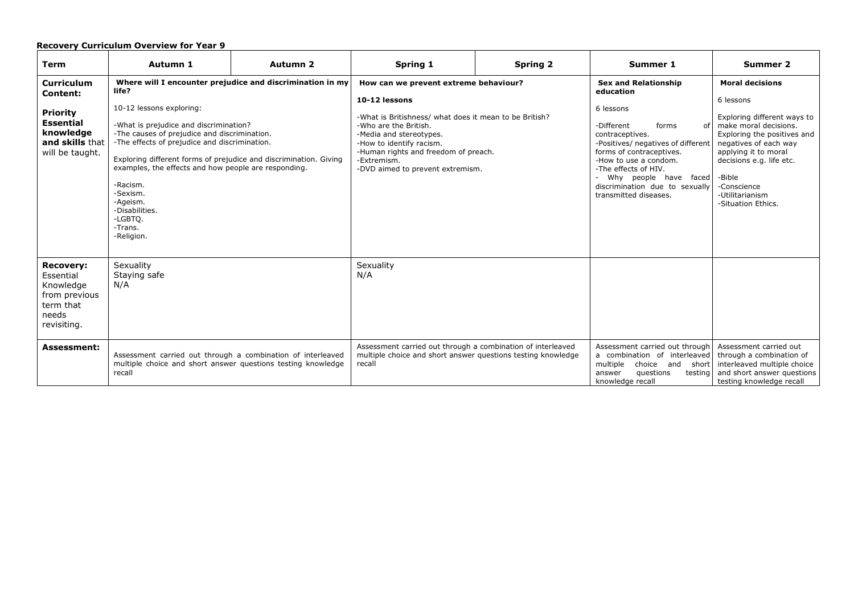| <b>Term</b>                                                                                                             | Autumn 1                                                                                                                                                                                                                                                                                                                                                                                                                                                         | <b>Autumn 2</b> | Spring 1                                                                                                                                                                                                                                                                                    | <b>Spring 2</b> | Summer 1                                                                                                                                                                                                                                                                                                     | <b>Summer 2</b>                                                                                                                                                                                                                                                           |
|-------------------------------------------------------------------------------------------------------------------------|------------------------------------------------------------------------------------------------------------------------------------------------------------------------------------------------------------------------------------------------------------------------------------------------------------------------------------------------------------------------------------------------------------------------------------------------------------------|-----------------|---------------------------------------------------------------------------------------------------------------------------------------------------------------------------------------------------------------------------------------------------------------------------------------------|-----------------|--------------------------------------------------------------------------------------------------------------------------------------------------------------------------------------------------------------------------------------------------------------------------------------------------------------|---------------------------------------------------------------------------------------------------------------------------------------------------------------------------------------------------------------------------------------------------------------------------|
| <b>Curriculum</b><br>Content:<br><b>Priority</b><br><b>Essential</b><br>knowledge<br>and skills that<br>will be taught. | Where will I encounter prejudice and discrimination in my<br>life?<br>10-12 lessons exploring:<br>-What is prejudice and discrimination?<br>-The causes of prejudice and discrimination.<br>-The effects of prejudice and discrimination.<br>Exploring different forms of prejudice and discrimination. Giving<br>examples, the effects and how people are responding.<br>-Racism.<br>-Sexism.<br>-Ageism.<br>-Disabilities.<br>-LGBTO.<br>-Trans.<br>-Religion. |                 | How can we prevent extreme behaviour?<br>10-12 lessons<br>-What is Britishness/ what does it mean to be British?<br>-Who are the British.<br>-Media and stereotypes.<br>-How to identify racism.<br>-Human rights and freedom of preach.<br>-Extremism.<br>-DVD aimed to prevent extremism. |                 | <b>Sex and Relationship</b><br>education<br>6 lessons<br>-Different<br>forms<br>of<br>contraceptives.<br>-Positives/ negatives of different<br>forms of contraceptives.<br>-How to use a condom.<br>-The effects of HIV.<br>Why people have faced<br>discrimination due to sexually<br>transmitted diseases. | <b>Moral decisions</b><br>6 lessons<br>Exploring different ways to<br>make moral decisions.<br>Exploring the positives and<br>negatives of each way<br>applying it to moral<br>decisions e.g. life etc.<br>-Bible<br>-Conscience<br>-Utilitarianism<br>-Situation Ethics. |
| <b>Recovery:</b><br>Essential<br>Knowledge<br>from previous<br>term that<br>needs<br>revisiting.                        | Sexuality<br>Staying safe<br>N/A                                                                                                                                                                                                                                                                                                                                                                                                                                 |                 | Sexuality<br>N/A                                                                                                                                                                                                                                                                            |                 |                                                                                                                                                                                                                                                                                                              |                                                                                                                                                                                                                                                                           |
| <b>Assessment:</b>                                                                                                      | Assessment carried out through a combination of interleaved<br>multiple choice and short answer questions testing knowledge<br>recall                                                                                                                                                                                                                                                                                                                            |                 | Assessment carried out through a combination of interleaved<br>multiple choice and short answer questions testing knowledge<br>recall                                                                                                                                                       |                 | Assessment carried out through<br>a combination of interleaved<br>multiple<br>choice and<br>short<br>questions<br>answer<br>testing<br>knowledge recall                                                                                                                                                      | Assessment carried out<br>through a combination of<br>interleaved multiple choice<br>and short answer questions<br>testing knowledge recall                                                                                                                               |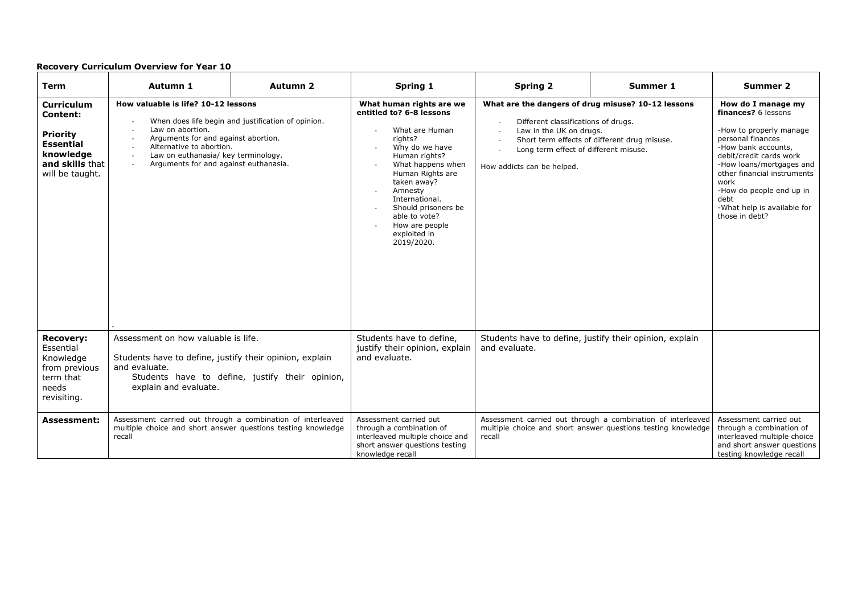| Term                                                                                                                           | Autumn 1                                                                                                                                                                                                                                         | Autumn 2                                           | Spring 1                                                                                                                                                                                                                                                                                          | <b>Spring 2</b>                                                                                                                                                                             | Summer 1                                                                                                                    | Summer 2                                                                                                                                                                                                                                                                                            |
|--------------------------------------------------------------------------------------------------------------------------------|--------------------------------------------------------------------------------------------------------------------------------------------------------------------------------------------------------------------------------------------------|----------------------------------------------------|---------------------------------------------------------------------------------------------------------------------------------------------------------------------------------------------------------------------------------------------------------------------------------------------------|---------------------------------------------------------------------------------------------------------------------------------------------------------------------------------------------|-----------------------------------------------------------------------------------------------------------------------------|-----------------------------------------------------------------------------------------------------------------------------------------------------------------------------------------------------------------------------------------------------------------------------------------------------|
| <b>Curriculum</b><br><b>Content:</b><br><b>Priority</b><br><b>Essential</b><br>knowledge<br>and skills that<br>will be taught. | How valuable is life? 10-12 lessons<br>Law on abortion.<br>Arguments for and against abortion.<br>Alternative to abortion.<br>$\overline{a}$<br>Law on euthanasia/ key terminology.<br>$\sim$<br>Arguments for and against euthanasia.<br>$\sim$ | When does life begin and justification of opinion. | What human rights are we<br>entitled to? 6-8 lessons<br>What are Human<br>rights?<br>Why do we have<br>Human rights?<br>What happens when<br>Human Rights are<br>taken away?<br>Amnesty<br>International.<br>Should prisoners be<br>able to vote?<br>How are people<br>exploited in<br>2019/2020. | What are the dangers of drug misuse? 10-12 lessons<br>Different classifications of drugs.<br>Law in the UK on drugs.<br>Long term effect of different misuse.<br>How addicts can be helped. | Short term effects of different drug misuse.                                                                                | How do I manage my<br>finances? 6 lessons<br>-How to properly manage<br>personal finances<br>-How bank accounts,<br>debit/credit cards work<br>-How loans/mortgages and<br>other financial instruments<br>work<br>-How do people end up in<br>debt<br>-What help is available for<br>those in debt? |
| <b>Recovery:</b><br>Essential<br>Knowledge<br>from previous<br>term that<br>needs<br>revisiting.                               | Assessment on how valuable is life.<br>Students have to define, justify their opinion, explain<br>and evaluate.<br>explain and evaluate.                                                                                                         | Students have to define, justify their opinion,    | Students have to define,<br>justify their opinion, explain<br>and evaluate.                                                                                                                                                                                                                       | Students have to define, justify their opinion, explain<br>and evaluate.                                                                                                                    |                                                                                                                             |                                                                                                                                                                                                                                                                                                     |
| <b>Assessment:</b>                                                                                                             | Assessment carried out through a combination of interleaved<br>multiple choice and short answer questions testing knowledge<br>recall                                                                                                            |                                                    | Assessment carried out<br>through a combination of<br>interleaved multiple choice and<br>short answer questions testing<br>knowledge recall                                                                                                                                                       | recall                                                                                                                                                                                      | Assessment carried out through a combination of interleaved<br>multiple choice and short answer questions testing knowledge | Assessment carried out<br>through a combination of<br>interleaved multiple choice<br>and short answer questions<br>testing knowledge recall                                                                                                                                                         |